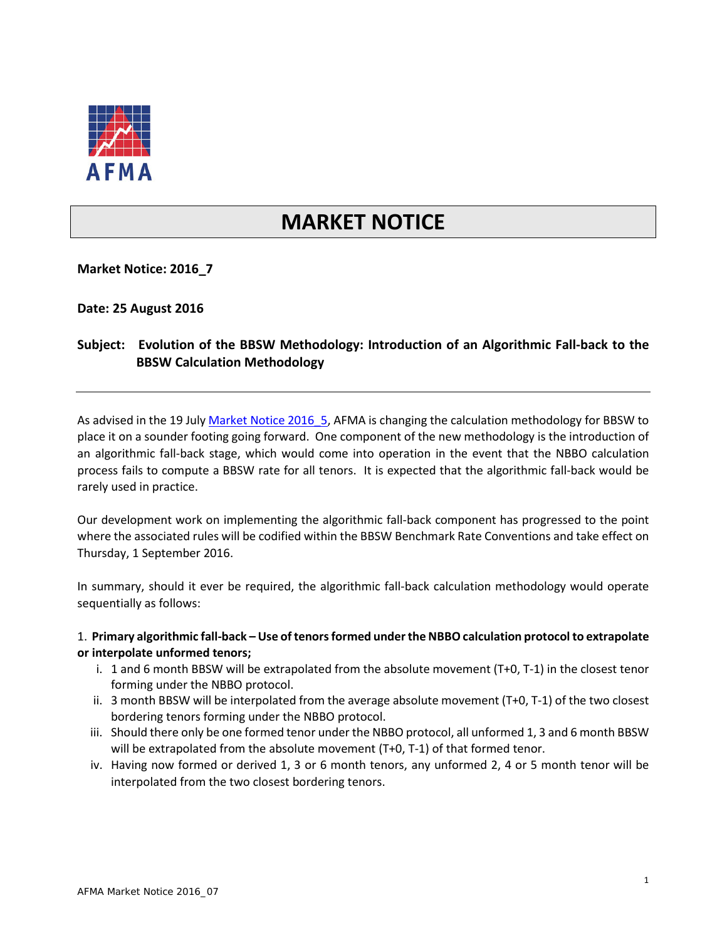

# **MARKET NOTICE**

**Market Notice: 2016\_7**

**Date: 25 August 2016**

## **Subject: Evolution of the BBSW Methodology: Introduction of an Algorithmic Fall-back to the BBSW Calculation Methodology**

As advised in the 19 July Market Notice 2016 5, AFMA is changing the calculation methodology for BBSW to place it on a sounder footing going forward. One component of the new methodology is the introduction of an algorithmic fall-back stage, which would come into operation in the event that the NBBO calculation process fails to compute a BBSW rate for all tenors. It is expected that the algorithmic fall-back would be rarely used in practice.

Our development work on implementing the algorithmic fall-back component has progressed to the point where the associated rules will be codified within the BBSW Benchmark Rate Conventions and take effect on Thursday, 1 September 2016.

In summary, should it ever be required, the algorithmic fall-back calculation methodology would operate sequentially as follows:

#### 1. **Primary algorithmic fall-back – Use of tenors formed under the NBBO calculation protocol to extrapolate or interpolate unformed tenors;**

- i. 1 and 6 month BBSW will be extrapolated from the absolute movement (T+0, T-1) in the closest tenor forming under the NBBO protocol.
- ii. 3 month BBSW will be interpolated from the average absolute movement (T+0, T-1) of the two closest bordering tenors forming under the NBBO protocol.
- iii. Should there only be one formed tenor under the NBBO protocol, all unformed 1, 3 and 6 month BBSW will be extrapolated from the absolute movement (T+0, T-1) of that formed tenor.
- iv. Having now formed or derived 1, 3 or 6 month tenors, any unformed 2, 4 or 5 month tenor will be interpolated from the two closest bordering tenors.